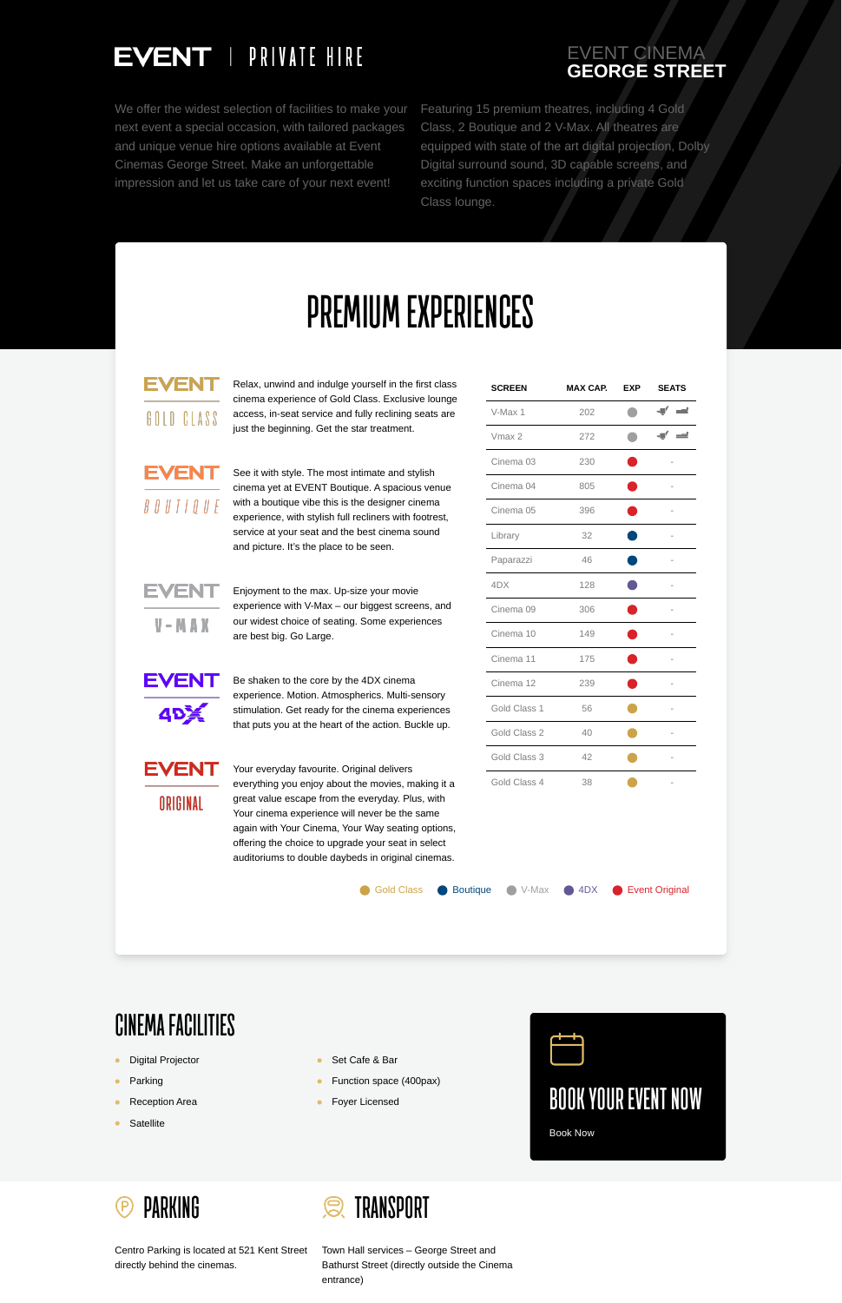

Centro Parking is located at 521 Kent Street directly behind the cinemas.



Town Hall services – George Street and Bathurst Street (directly outside the Cinema entrance)



## EVENT CINEMA **GEORGE STREET**

We offer the widest selection of facilities to make your next event a special occasion, with tailored packages and unique venue hire options available at Event Cinemas George Street. Make an unforgettable impression and let us take care of your next event!

Featuring 15 premium theatres, including 4 Gold Class, 2 Boutique and 2 V-Max. All theatres are equipped with state of the art digital projection, Dolby Digital surround sound, 3D capable screens, and exciting function spaces including a private Gold Class lounge.

## **PREMIUM EXPERIENCES**

EVENT GOLD CLASS

Relax, unwind and indulge yourself in the first class cinema experience of Gold Class. Exclusive lounge access, in-seat service and fully reclining seats are just the beginning. Get the star treatment.

EVENT  $B$   $O$   $U$   $T$   $I$   $Q$   $U$   $E$ 

See it with style. The most intimate and stylish cinema yet at EVENT Boutique. A spacious venue with a boutique vibe this is the designer cinema experience, with stylish full recliners with footrest, service at your seat and the best cinema sound and picture. It's the place to be seen.

EVEN

 $V - M A X$ 

Enjoyment to the max. Up-size your movie experience with V-Max – our biggest screens, and our widest choice of seating. Some experiences are best big. Go Large.



Be shaken to the core by the 4DX cinema experience. Motion. Atmospherics. Multi-sensory stimulation. Get ready for the cinema experiences that puts you at the heart of the action. Buckle up.

Your everyday favourite. Original delivers everything you enjoy about the movies, making it a great value escape from the everyday. Plus, with Your cinema experience will never be the same again with Your Cinema, Your Way seating options, offering the choice to upgrade your seat in select auditoriums to double daybeds in original cinemas.

|                                                                                                                                                                    | Gold Class 3 | 42                 |           |                       |  |
|--------------------------------------------------------------------------------------------------------------------------------------------------------------------|--------------|--------------------|-----------|-----------------------|--|
| inal delivers<br>ne movies, making it a<br>everyday. Plus, with<br>never be the same<br>r Way seating options,<br>e your seat in select<br>ds in original cinemas. | Gold Class 4 | 38                 |           |                       |  |
| <b>Boutique</b><br><b>Gold Class</b>                                                                                                                               | V-Max        | 4DX<br><b>STEP</b> | <b>CO</b> | <b>Event Original</b> |  |

| <b>SCREEN</b>        | <b>MAX CAP.</b> | <b>EXP</b> | <b>SEATS</b>                |
|----------------------|-----------------|------------|-----------------------------|
| V-Max 1              | 202             |            | $\equiv$<br>$\blacksquare'$ |
| Vmax 2               | 272             |            | $\bullet$ $\bullet$         |
| Cinema <sub>03</sub> | 230             |            |                             |
| Cinema <sub>04</sub> | 805             |            |                             |
| Cinema <sub>05</sub> | 396             |            |                             |
| Library              | 32              |            |                             |
| Paparazzi            | 46              |            |                             |
| 4DX                  | 128             |            |                             |
| Cinema <sub>09</sub> | 306             |            |                             |
| Cinema 10            | 149             |            |                             |
| Cinema 11            | 175             |            |                             |
| Cinema 12            | 239             |            |                             |
| Gold Class 1         | 56              |            |                             |
| Gold Class 2         | 40              |            | $\overline{\phantom{0}}$    |



ORIGINAL

## **CINEMA FACILITIES**

- **•** Digital Projector
- Parking  $\bullet$
- Reception Area  $\bullet$
- **Satellite**  $\bullet$
- Set Cafe & Bar
- Function space (400pax)
- Foyer Licensed $\bullet$